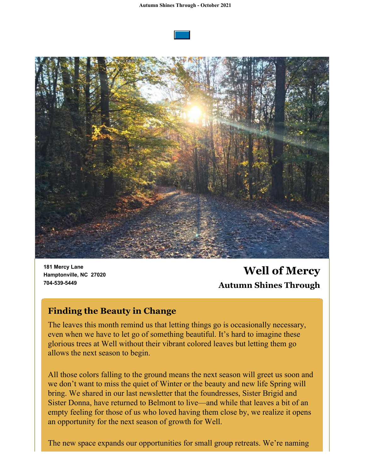



**181 Mercy Lane Hamptonville, NC 27020 704-539-5449**

**Well of Mercy Autumn Shines Through**

## **Finding the Beauty in Change**

The leaves this month remind us that letting things go is occasionally necessary, even when we have to let go of something beautiful. It's hard to imagine these glorious trees at Well without their vibrant colored leaves but letting them go allows the next season to begin.

All those colors falling to the ground means the next season will greet us soon and we don't want to miss the quiet of Winter or the beauty and new life Spring will bring. We shared in our last newsletter that the foundresses, Sister Brigid and Sister Donna, have returned to Belmont to live—and while that leaves a bit of an empty feeling for those of us who loved having them close by, we realize it opens an opportunity for the next season of growth for Well.

The new space expands our opportunities for small group retreats. We're naming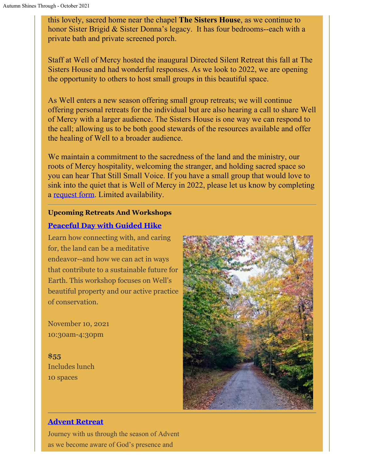this lovely, sacred home near the chapel **The Sisters House**, as we continue to honor Sister Brigid & Sister Donna's legacy. It has four bedrooms--each with a private bath and private screened porch.

Staff at Well of Mercy hosted the inaugural Directed Silent Retreat this fall at The Sisters House and had wonderful responses. As we look to 2022, we are opening the opportunity to others to host small groups in this beautiful space.

As Well enters a new season offering small group retreats; we will continue offering personal retreats for the individual but are also hearing a call to share Well of Mercy with a larger audience. The Sisters House is one way we can respond to the call; allowing us to be both good stewards of the resources available and offer the healing of Well to a broader audience.

We maintain a commitment to the sacredness of the land and the ministry, our roots of Mercy hospitality, welcoming the stranger, and holding sacred space so you can hear That Still Small Voice. If you have a small group that would love to sink into the quiet that is Well of Mercy in 2022, please let us know by completing a [request form](https://docs.google.com/forms/d/1SRviL6wZOF_9SkzyZnkYJzqKnXTHSCG_Lz44U67nCb4/edit). Limited availability.

#### **Upcoming Retreats And Workshops**

### **[Peaceful Day with Guided Hike](https://wellofmercy.networkforgood.com/events/34632-peaceful-day-with-guided-hike-at-well-of-mercy)**

Learn how connecting with, and caring for, the land can be a meditative endeavor--and how we can act in ways that contribute to a sustainable future for Earth. This workshop focuses on Well's beautiful property and our active practice of conservation.

November 10, 2021 10:30am-4:30pm

**\$55** Includes lunch 10 spaces



### **[Advent Retreat](https://wellofmercy.networkforgood.com/events/35471-advent-retreat)**

Journey with us through the season of Advent as we become aware of God's presence and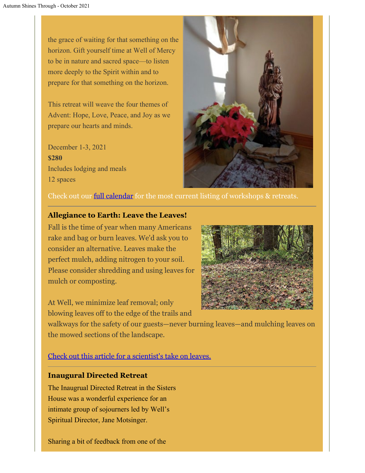the grace of waiting for that something on the horizon. Gift yourself time at Well of Mercy to be in nature and sacred space—to listen more deeply to the Spirit within and to prepare for that something on the horizon.

This retreat will weave the four themes of Advent: Hope, Love, Peace, and Joy as we prepare our hearts and minds.

December 1-3, 2021 **\$280** Includes lodging and meals 12 spaces



Check out our **full calendar** for the most current listing of workshops & retreats.

#### **Allegiance to Earth: Leave the Leaves!**

Fall is the time of year when many Americans rake and bag or burn leaves. We'd ask you to consider an alternative. Leaves make the perfect mulch, adding nitrogen to your soil. Please consider shredding and using leaves for mulch or composting.

At Well, we minimize leaf removal; only blowing leaves off to the edge of the trails and



walkways for the safety of our guests—never burning leaves—and mulching leaves on the mowed sections of the landscape.

[Check out this article for a scientist's take on leaves.](https://www.gardeningchannel.com/scientists-say-dont-rake-leaves/)

#### **Inaugural Directed Retreat**

The Inaugrual Directed Retreat in the Sisters House was a wonderful experience for an intimate group of sojourners led by Well's Spiritual Director, Jane Motsinger.

Sharing a bit of feedback from one of the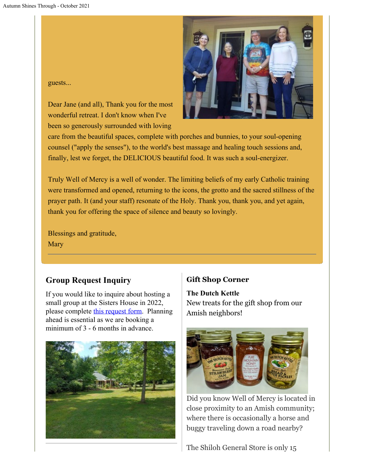guests...

Dear Jane (and all), Thank you for the most wonderful retreat. I don't know when I've been so generously surrounded with loving



care from the beautiful spaces, complete with porches and bunnies, to your soul-opening counsel ("apply the senses"), to the world's best massage and healing touch sessions and, finally, lest we forget, the DELICIOUS beautiful food. It was such a soul-energizer.

Truly Well of Mercy is a well of wonder. The limiting beliefs of my early Catholic training were transformed and opened, returning to the icons, the grotto and the sacred stillness of the prayer path. It (and your staff) resonate of the Holy. Thank you, thank you, and yet again, thank you for offering the space of silence and beauty so lovingly.

Blessings and gratitude, **Mary** 

# **Group Request Inquiry**

If you would like to inquire about hosting a small group at the Sisters House in 2022, please complete [this request form](https://docs.google.com/forms/d/1SRviL6wZOF_9SkzyZnkYJzqKnXTHSCG_Lz44U67nCb4/edit). Planning ahead is essential as we are booking a minimum of 3 - 6 months in advance.



# **Gift Shop Corner**

**The Dutch Kettle** New treats for the gift shop from our Amish neighbors!



Did you know Well of Mercy is located in close proximity to an Amish community; where there is occasionally a horse and buggy traveling down a road nearby?

The Shiloh General Store is only 15